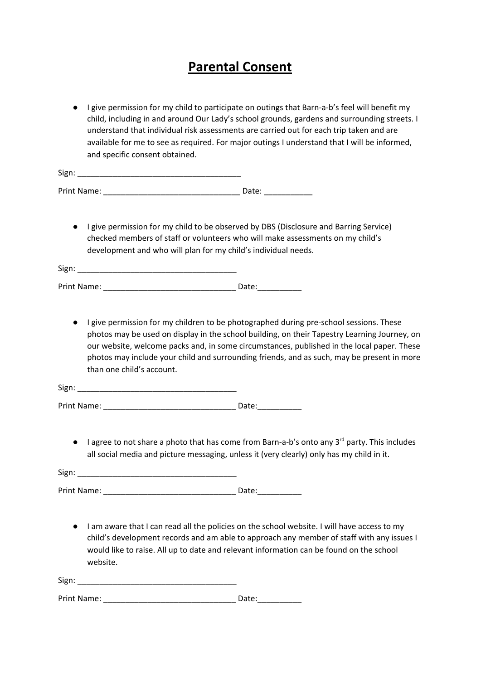## **Parental Consent**

● I give permission for my child to participate on outings that Barn-a-b's feel will benefit my child, including in and around Our Lady's school grounds, gardens and surrounding streets. I understand that individual risk assessments are carried out for each trip taken and are available for me to see as required. For major outings I understand that I will be informed, and specific consent obtained.

| Sign: |  |  |  |
|-------|--|--|--|
|       |  |  |  |

| Print Name: |  |  |
|-------------|--|--|
|-------------|--|--|

● I give permission for my child to be observed by DBS (Disclosure and Barring Service) checked members of staff or volunteers who will make assessments on my child's development and who will plan for my child's individual needs.

| $\ddot{\,}$<br>- -<br>- |  |
|-------------------------|--|
|                         |  |

| Print Name: |  |
|-------------|--|
|             |  |

● I give permission for my children to be photographed during pre-school sessions. These photos may be used on display in the school building, on their Tapestry Learning Journey, on our website, welcome packs and, in some circumstances, published in the local paper. These photos may include your child and surrounding friends, and as such, may be present in more than one child's account.

| Sign:<br>----- |  |
|----------------|--|
|                |  |

Print Name: \_\_\_\_\_\_\_\_\_\_\_\_\_\_\_\_\_\_\_\_\_\_\_\_\_\_\_\_\_\_ Date:\_\_\_\_\_\_\_\_\_\_

● I agree to not share a photo that has come from Barn-a-b's onto any 3<sup>rd</sup> party. This includes all social media and picture messaging, unless it (very clearly) only has my child in it.

Sign: \_\_\_\_\_\_\_\_\_\_\_\_\_\_\_\_\_\_\_\_\_\_\_\_\_\_\_\_\_\_\_\_\_\_\_\_

Print Name: \_\_\_\_\_\_\_\_\_\_\_\_\_\_\_\_\_\_\_\_\_\_\_\_\_\_\_\_\_\_ Date:\_\_\_\_\_\_\_\_\_\_

● I am aware that I can read all the policies on the school website. I will have access to my child's development records and am able to approach any member of staff with any issues I would like to raise. All up to date and relevant information can be found on the school website.

| $\mathbf{r}$<br>. .<br>Non |  |  |  |
|----------------------------|--|--|--|
|                            |  |  |  |
|                            |  |  |  |

Print Name: \_\_\_\_\_\_\_\_\_\_\_\_\_\_\_\_\_\_\_\_\_\_\_\_\_\_\_\_\_\_ Date:\_\_\_\_\_\_\_\_\_\_